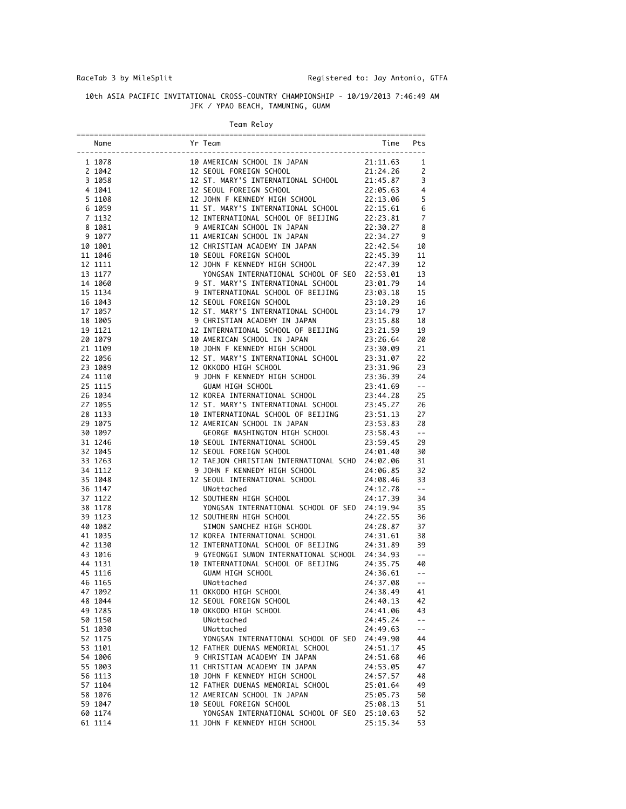## 10th ASIA PACIFIC INVITATIONAL CROSS-COUNTRY CHAMPIONSHIP - 10/19/2013 7:46:49 AM JFK / YPAO BEACH, TAMUNING, GUAM

|  |  | Team Relav |
|--|--|------------|
|--|--|------------|

|                    | Mome<br>Mome<br>Nome<br>Nome<br>1928<br>1928<br>1928<br>1928<br>1928<br>1928<br>1928<br>1928<br>1928<br>1928<br>1928<br>1929<br>1929<br>1929<br>1929<br>1929<br>1929<br>1920<br>1920<br>1920<br>1920<br>1920<br>1920<br>1920<br>1920<br>1920<br>1920<br>1920<br>1920<br>1920<br>1920<br>1920<br>1920<br> | Time Pts |                                                                                             |
|--------------------|----------------------------------------------------------------------------------------------------------------------------------------------------------------------------------------------------------------------------------------------------------------------------------------------------------|----------|---------------------------------------------------------------------------------------------|
|                    |                                                                                                                                                                                                                                                                                                          |          |                                                                                             |
|                    |                                                                                                                                                                                                                                                                                                          |          |                                                                                             |
|                    |                                                                                                                                                                                                                                                                                                          |          |                                                                                             |
|                    |                                                                                                                                                                                                                                                                                                          |          |                                                                                             |
|                    |                                                                                                                                                                                                                                                                                                          |          |                                                                                             |
|                    |                                                                                                                                                                                                                                                                                                          |          |                                                                                             |
|                    |                                                                                                                                                                                                                                                                                                          |          |                                                                                             |
|                    |                                                                                                                                                                                                                                                                                                          |          |                                                                                             |
|                    |                                                                                                                                                                                                                                                                                                          |          |                                                                                             |
| 10 1001            |                                                                                                                                                                                                                                                                                                          |          |                                                                                             |
|                    |                                                                                                                                                                                                                                                                                                          |          |                                                                                             |
|                    |                                                                                                                                                                                                                                                                                                          |          |                                                                                             |
|                    |                                                                                                                                                                                                                                                                                                          |          |                                                                                             |
| 14 1060            |                                                                                                                                                                                                                                                                                                          |          |                                                                                             |
| 15 1134            |                                                                                                                                                                                                                                                                                                          |          |                                                                                             |
|                    |                                                                                                                                                                                                                                                                                                          |          |                                                                                             |
|                    |                                                                                                                                                                                                                                                                                                          |          |                                                                                             |
| 19 1121            |                                                                                                                                                                                                                                                                                                          |          |                                                                                             |
| 20 1079            |                                                                                                                                                                                                                                                                                                          |          |                                                                                             |
| 21 1109            |                                                                                                                                                                                                                                                                                                          |          |                                                                                             |
| 22 1056            |                                                                                                                                                                                                                                                                                                          |          |                                                                                             |
| 23 1089            |                                                                                                                                                                                                                                                                                                          |          |                                                                                             |
| 24 1110            |                                                                                                                                                                                                                                                                                                          |          |                                                                                             |
| 25 1115            |                                                                                                                                                                                                                                                                                                          |          |                                                                                             |
| 26 1034            |                                                                                                                                                                                                                                                                                                          |          |                                                                                             |
| 27 1055            |                                                                                                                                                                                                                                                                                                          |          |                                                                                             |
| 28 1133            |                                                                                                                                                                                                                                                                                                          |          |                                                                                             |
| 29 1075            |                                                                                                                                                                                                                                                                                                          |          |                                                                                             |
| 30 1097            |                                                                                                                                                                                                                                                                                                          |          |                                                                                             |
| 31 1246            |                                                                                                                                                                                                                                                                                                          |          |                                                                                             |
| 32 1045            |                                                                                                                                                                                                                                                                                                          |          |                                                                                             |
| 33 1263            |                                                                                                                                                                                                                                                                                                          |          |                                                                                             |
| 34 1112            |                                                                                                                                                                                                                                                                                                          |          |                                                                                             |
| 35 1048            |                                                                                                                                                                                                                                                                                                          |          |                                                                                             |
| 36 1147            |                                                                                                                                                                                                                                                                                                          |          |                                                                                             |
| 37 1122            |                                                                                                                                                                                                                                                                                                          |          |                                                                                             |
| 38 1178            |                                                                                                                                                                                                                                                                                                          |          |                                                                                             |
| 39 1123            |                                                                                                                                                                                                                                                                                                          |          |                                                                                             |
| 40 1082            |                                                                                                                                                                                                                                                                                                          |          |                                                                                             |
| 41 1035            |                                                                                                                                                                                                                                                                                                          |          |                                                                                             |
| 42 1130            |                                                                                                                                                                                                                                                                                                          |          |                                                                                             |
| 43 1016            |                                                                                                                                                                                                                                                                                                          |          |                                                                                             |
| 44 1131            |                                                                                                                                                                                                                                                                                                          |          |                                                                                             |
| 45 1116            |                                                                                                                                                                                                                                                                                                          |          |                                                                                             |
| 46 1165            |                                                                                                                                                                                                                                                                                                          |          |                                                                                             |
| 47 1092            | 11 OKKODO HIGH SCHOOL                                                                                                                                                                                                                                                                                    | 24:38.49 | 41                                                                                          |
| 48 1044            | 12 SEOUL FOREIGN SCHOOL                                                                                                                                                                                                                                                                                  | 24:40.13 | 42                                                                                          |
| 49 1285            | 10 OKKODO HIGH SCHOOL                                                                                                                                                                                                                                                                                    | 24:41.06 | 43                                                                                          |
| 50 1150            | UNattached                                                                                                                                                                                                                                                                                               | 24:45.24 | $\mathord{\hspace{1pt}\text{--}\hspace{1pt}}$ $\mathord{\hspace{1pt}\text{--}\hspace{1pt}}$ |
| 51 1030            | UNattached                                                                                                                                                                                                                                                                                               | 24:49.63 | $\overline{\phantom{a}}$ .                                                                  |
| 52 1175            | YONGSAN INTERNATIONAL SCHOOL OF SEO 24:49.90                                                                                                                                                                                                                                                             |          | 44                                                                                          |
| 53 1101            | 12 FATHER DUENAS MEMORIAL SCHOOL                                                                                                                                                                                                                                                                         | 24:51.17 | 45                                                                                          |
| 54 1006            | 9 CHRISTIAN ACADEMY IN JAPAN                                                                                                                                                                                                                                                                             | 24:51.68 | 46                                                                                          |
| 55 1003            | 11 CHRISTIAN ACADEMY IN JAPAN                                                                                                                                                                                                                                                                            | 24:53.05 | 47                                                                                          |
| 56 1113            | 10 JOHN F KENNEDY HIGH SCHOOL                                                                                                                                                                                                                                                                            | 24:57.57 | 48                                                                                          |
| 57 1104            | 12 FATHER DUENAS MEMORIAL SCHOOL                                                                                                                                                                                                                                                                         | 25:01.64 | 49                                                                                          |
| 58 1076            | 12 AMERICAN SCHOOL IN JAPAN                                                                                                                                                                                                                                                                              | 25:05.73 | 50                                                                                          |
| 59 1047            | 10 SEOUL FOREIGN SCHOOL<br>YONGSAN INTERNATIONAL SCHOOL OF SEO 25:10.63                                                                                                                                                                                                                                  | 25:08.13 | 51                                                                                          |
| 60 1174<br>61 1114 | 11 JOHN F KENNEDY HIGH SCHOOL                                                                                                                                                                                                                                                                            | 25:15.34 | 52<br>53                                                                                    |
|                    |                                                                                                                                                                                                                                                                                                          |          |                                                                                             |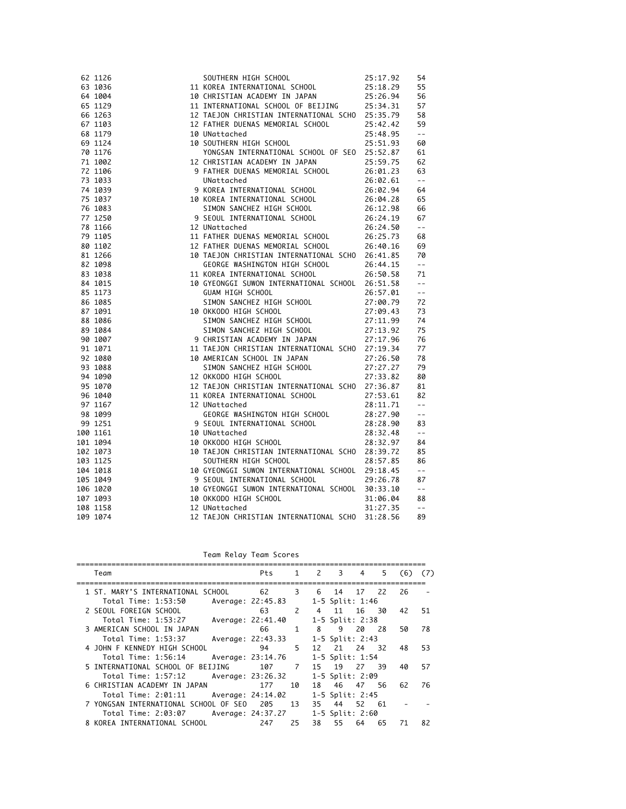| 62 1126  |                                                                                                                                                                                                                                         |  |
|----------|-----------------------------------------------------------------------------------------------------------------------------------------------------------------------------------------------------------------------------------------|--|
| 63 1036  |                                                                                                                                                                                                                                         |  |
| 64 1004  |                                                                                                                                                                                                                                         |  |
| 65 1129  |                                                                                                                                                                                                                                         |  |
| 66 1263  |                                                                                                                                                                                                                                         |  |
| 67 1103  |                                                                                                                                                                                                                                         |  |
| 68 1179  |                                                                                                                                                                                                                                         |  |
| 69 1124  |                                                                                                                                                                                                                                         |  |
| 70 1176  |                                                                                                                                                                                                                                         |  |
| 71 1002  |                                                                                                                                                                                                                                         |  |
| 72 1106  |                                                                                                                                                                                                                                         |  |
| 73 1033  |                                                                                                                                                                                                                                         |  |
| 74 1039  |                                                                                                                                                                                                                                         |  |
| 75 1037  |                                                                                                                                                                                                                                         |  |
| 76 1083  |                                                                                                                                                                                                                                         |  |
| 77 1250  |                                                                                                                                                                                                                                         |  |
| 78 1166  |                                                                                                                                                                                                                                         |  |
| 79 1105  |                                                                                                                                                                                                                                         |  |
| 80 1102  |                                                                                                                                                                                                                                         |  |
| 81 1266  |                                                                                                                                                                                                                                         |  |
| 82 1098  |                                                                                                                                                                                                                                         |  |
| 83 1038  |                                                                                                                                                                                                                                         |  |
| 84 1015  |                                                                                                                                                                                                                                         |  |
| 85 1173  |                                                                                                                                                                                                                                         |  |
| 86 1085  |                                                                                                                                                                                                                                         |  |
| 87 1091  |                                                                                                                                                                                                                                         |  |
| 88 1086  |                                                                                                                                                                                                                                         |  |
| 89 1084  |                                                                                                                                                                                                                                         |  |
| 90 1007  |                                                                                                                                                                                                                                         |  |
| 91 1071  |                                                                                                                                                                                                                                         |  |
| 92 1080  |                                                                                                                                                                                                                                         |  |
| 93 1088  |                                                                                                                                                                                                                                         |  |
| 94 1090  |                                                                                                                                                                                                                                         |  |
| 95 1070  |                                                                                                                                                                                                                                         |  |
| 96 1040  |                                                                                                                                                                                                                                         |  |
| 97 1167  |                                                                                                                                                                                                                                         |  |
| 98 1099  |                                                                                                                                                                                                                                         |  |
| 99 1251  |                                                                                                                                                                                                                                         |  |
| 100 1161 |                                                                                                                                                                                                                                         |  |
| 101 1094 |                                                                                                                                                                                                                                         |  |
| 102 1073 |                                                                                                                                                                                                                                         |  |
| 103 1125 |                                                                                                                                                                                                                                         |  |
| 104 1018 |                                                                                                                                                                                                                                         |  |
| 105 1049 |                                                                                                                                                                                                                                         |  |
| 106 1020 | SOUTHERN HIGH SCHOOL 25:17.92<br>11 KOREA THIERNATIONAL SCHOOL 25:18.29<br>11 KOREA THIERNATIONAL SCHOOL 25:18.29<br>13 KOREA THIERNATIONAL SCHOOL 25:18.29<br>11 INTERNATIONAL SCHOOL OF BETJING<br>11 INTERNATIONAL SCHOOL OF BETJING |  |
| 107 1093 |                                                                                                                                                                                                                                         |  |
| 108 1158 |                                                                                                                                                                                                                                         |  |
| 109 1074 |                                                                                                                                                                                                                                         |  |
|          |                                                                                                                                                                                                                                         |  |

Team Relay Team Scores

| Team                                     | Pts |               | 1 2 | 3    | 4               | 5   | (6) | (7) |
|------------------------------------------|-----|---------------|-----|------|-----------------|-----|-----|-----|
| 1 ST. MARY'S INTERNATIONAL SCHOOL        | 62  | 3             | 6   | 14   | 17              | 22  | 26  |     |
| Total Time: 1:53:50<br>Average: 22:45.83 |     |               |     |      | 1-5 Split: 1:46 |     |     |     |
| 2 SEOUL FOREIGN SCHOOL                   | 63  | $\mathcal{L}$ | 4   | - 11 | 16              | 30  | 42  | 51  |
| Total Time: 1:53:27<br>Average: 22:41.40 |     |               |     |      | 1-5 Split: 2:38 |     |     |     |
| 3 AMERICAN SCHOOL IN JAPAN               | 66  | $\mathbf{1}$  | 8   | 9    | 20              | 28  | 50  | 78  |
| Total Time: 1:53:37<br>Average: 22:43.33 |     |               |     |      | 1-5 Split: 2:43 |     |     |     |
| 4 JOHN F KENNEDY HIGH SCHOOL             | 94  | 5.            | 12  | 21   | 24              | 32. | 48  | 53  |
| Total Time: 1:56:14<br>Average: 23:14.76 |     |               |     |      | 1-5 Split: 1:54 |     |     |     |
| 5 INTERNATIONAL SCHOOL OF BEIJING        | 107 | 7             | 15  | 19   | 27              | 39. | 40  | 57  |
| Total Time: 1:57:12<br>Average: 23:26.32 |     |               |     |      | 1-5 Split: 2:09 |     |     |     |
| 6 CHRISTIAN ACADEMY IN JAPAN             | 177 | 10            | 18  |      | 46 47           | 56  | 62  | 76  |
| Total Time: 2:01:11<br>Average: 24:14.02 |     |               |     |      | 1-5 Split: 2:45 |     |     |     |
| 7 YONGSAN INTERNATIONAL SCHOOL OF SEO    | 205 | 13            | 35. | 44   | 52 61           |     |     |     |
| Total Time: 2:03:07<br>Average: 24:37.27 |     |               |     |      | 1-5 Split: 2:60 |     |     |     |
| 8 KOREA INTERNATIONAL SCHOOL             | 247 | 25            | 38  | 55   | 64              | 65  | 71  | 82  |